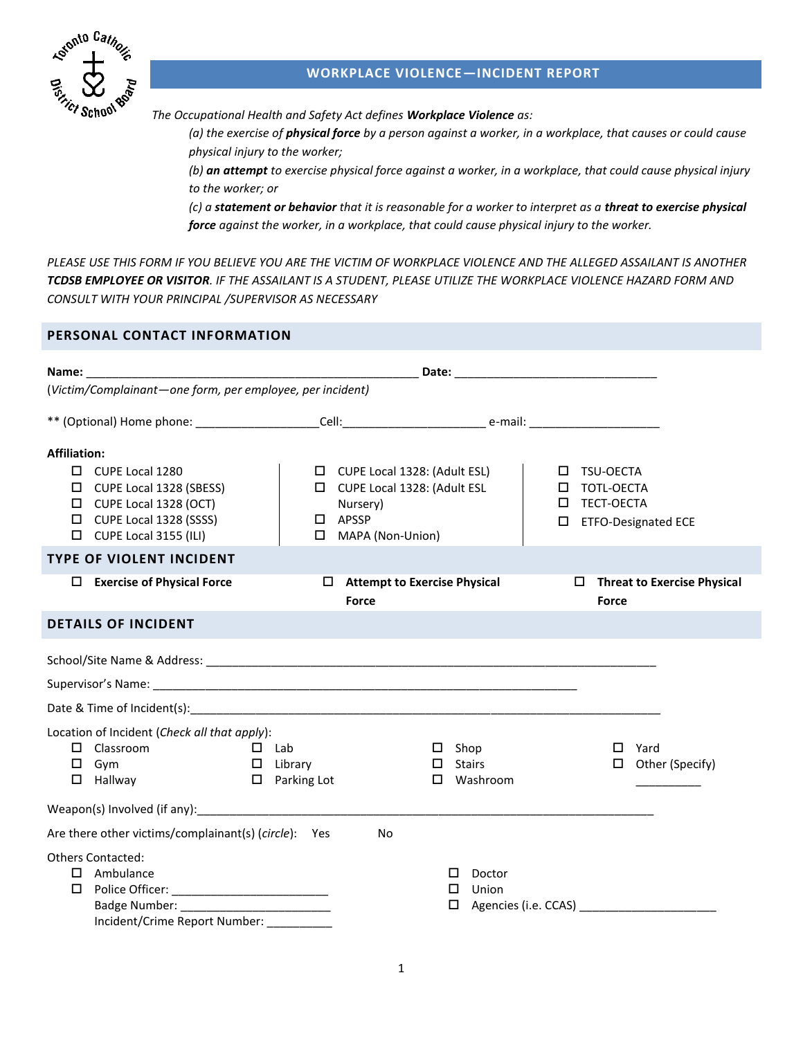

# **WORKPLACE VIOLENCE—INCIDENT REPORT**

*The Occupational Health and Safety Act defines Workplace Violence as:* 

*(a) the exercise of physical force by a person against a worker, in a workplace, that causes or could cause physical injury to the worker;* 

*(b) an attempt to exercise physical force against a worker, in a workplace, that could cause physical injury to the worker; or* 

*(c) a statement or behavior that it is reasonable for a worker to interpret as a threat to exercise physical force against the worker, in a workplace, that could cause physical injury to the worker.*

*PLEASE USE THIS FORM IF YOU BELIEVE YOU ARE THE VICTIM OF WORKPLACE VIOLENCE AND THE ALLEGED ASSAILANT IS ANOTHER TCDSB EMPLOYEE OR VISITOR. IF THE ASSAILANT IS A STUDENT, PLEASE UTILIZE THE WORKPLACE VIOLENCE HAZARD FORM AND CONSULT WITH YOUR PRINCIPAL /SUPERVISOR AS NECESSARY*

## **PERSONAL CONTACT INFORMATION**

| Name: Date: Department of the Contract of the Contract of the Contract of the Contract of the Contract of the Contract of the Contract of the Contract of the Contract of the Contract of the Contract of the Contract of the                          |                                                                                                                                                              |                                                       |                                                           |                                                                  |
|--------------------------------------------------------------------------------------------------------------------------------------------------------------------------------------------------------------------------------------------------------|--------------------------------------------------------------------------------------------------------------------------------------------------------------|-------------------------------------------------------|-----------------------------------------------------------|------------------------------------------------------------------|
| (Victim/Complainant-one form, per employee, per incident)                                                                                                                                                                                              |                                                                                                                                                              |                                                       |                                                           |                                                                  |
|                                                                                                                                                                                                                                                        |                                                                                                                                                              |                                                       |                                                           |                                                                  |
| <b>Affiliation:</b><br>$\Box$ CUPE Local 1280<br>CUPE Local 1328 (SBESS)<br>□<br>$\Box$ CUPE Local 1328 (OCT)<br>$\Box$ CUPE Local 1328 (SSSS)<br>$\Box$ CUPE Local 3155 (ILI)<br><b>TYPE OF VIOLENT INCIDENT</b><br>$\Box$ Exercise of Physical Force | $\Box$ CUPE Local 1328: (Adult ESL)<br>CUPE Local 1328: (Adult ESL<br>Nursery)<br>$\square$ APSSP<br>MAPA (Non-Union)<br>$\Box$ Attempt to Exercise Physical |                                                       | TSU-OECTA<br>TOTL-OECTA<br>□<br>TECT-OECTA<br>□<br>$\Box$ | <b>ETFO-Designated ECE</b><br>$\Box$ Threat to Exercise Physical |
|                                                                                                                                                                                                                                                        | Force                                                                                                                                                        |                                                       | Force                                                     |                                                                  |
| <b>DETAILS OF INCIDENT</b>                                                                                                                                                                                                                             |                                                                                                                                                              |                                                       |                                                           |                                                                  |
|                                                                                                                                                                                                                                                        |                                                                                                                                                              |                                                       |                                                           |                                                                  |
|                                                                                                                                                                                                                                                        |                                                                                                                                                              |                                                       |                                                           |                                                                  |
| Date & Time of Incident(s): example and the contract of the contract of the contract of the contract of the contract of the contract of the contract of the contract of the contract of the contract of the contract of the co                         |                                                                                                                                                              |                                                       |                                                           |                                                                  |
| Location of Incident (Check all that apply):<br>$\Box$ Classroom<br>and a company of the Lab<br>$\square$ Gym<br>$\Box$ Hallway                                                                                                                        | $\Box$ Library<br>$\Box$ Parking Lot                                                                                                                         | $\square$ Shop<br>$\Box$ Stairs<br>$\square$ Washroom | $\Box$                                                    | Yard<br>$\Box$ Other (Specify)                                   |
| Weapon(s) Involved (if any): Management Controller and Management Controller and Management Controller and Management Controller and Management Controller and Management Controller and Management Controller and Management                          |                                                                                                                                                              |                                                       |                                                           |                                                                  |
| Are there other victims/complainant(s) (circle): Yes                                                                                                                                                                                                   | No                                                                                                                                                           |                                                       |                                                           |                                                                  |
| <b>Others Contacted:</b><br>$\Box$ Ambulance<br>Incident/Crime Report Number:                                                                                                                                                                          |                                                                                                                                                              | Doctor<br>П<br>$\Box$<br>Union                        |                                                           |                                                                  |